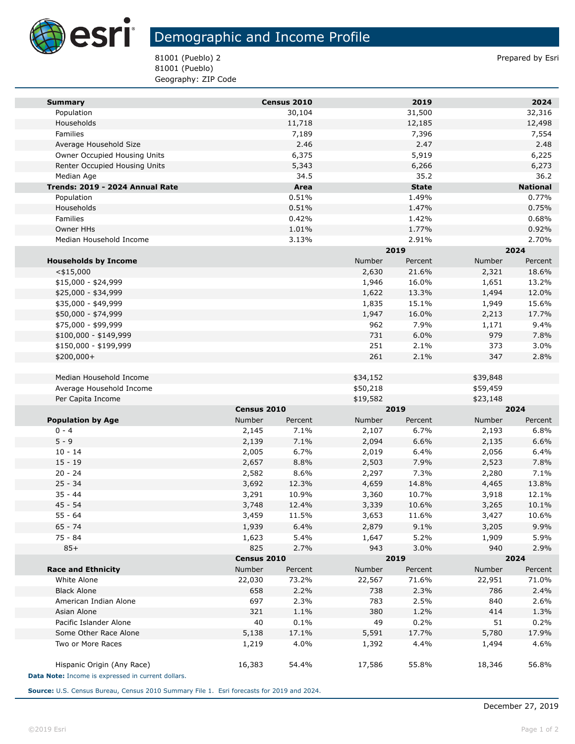

## Demographic and Income Profile

81001 (Pueblo) 2 Prepared by Esri 81001 (Pueblo) Geography: ZIP Code

| <b>Summary</b>                                     |             | Census 2010 |          | 2019         |          | 2024            |  |
|----------------------------------------------------|-------------|-------------|----------|--------------|----------|-----------------|--|
| Population                                         |             | 30,104      |          | 31,500       |          | 32,316          |  |
| Households                                         |             | 11,718      |          | 12,185       |          | 12,498          |  |
| Families                                           |             | 7,189       |          | 7,396        |          | 7,554           |  |
| Average Household Size                             |             | 2.46        |          | 2.47         |          | 2.48            |  |
| Owner Occupied Housing Units                       |             | 6,375       |          | 5,919        |          | 6,225           |  |
| Renter Occupied Housing Units                      |             | 5,343       |          | 6,266        |          | 6,273           |  |
| Median Age                                         |             | 34.5        |          | 35.2         |          | 36.2            |  |
| Trends: 2019 - 2024 Annual Rate                    |             | Area        |          | <b>State</b> |          | <b>National</b> |  |
| Population                                         |             | 0.51%       |          | 1.49%        |          | 0.77%           |  |
| Households                                         |             | 0.51%       |          | 1.47%        |          | 0.75%           |  |
| Families                                           |             | 0.42%       |          | 1.42%        |          | 0.68%           |  |
| Owner HHs                                          |             | 1.01%       |          | 1.77%        |          | 0.92%           |  |
| Median Household Income                            |             | 3.13%       |          | 2.91%        |          | 2.70%           |  |
|                                                    |             |             |          | 2019         |          | 2024            |  |
| <b>Households by Income</b>                        |             |             | Number   | Percent      | Number   | Percent         |  |
| $<$ \$15,000                                       |             |             | 2,630    | 21.6%        | 2,321    | 18.6%           |  |
| $$15,000 - $24,999$                                |             |             | 1,946    | 16.0%        | 1,651    | 13.2%           |  |
| \$25,000 - \$34,999                                |             |             | 1,622    | 13.3%        | 1,494    | 12.0%           |  |
| \$35,000 - \$49,999                                |             |             | 1,835    | 15.1%        | 1,949    | 15.6%           |  |
| \$50,000 - \$74,999                                |             |             | 1,947    | 16.0%        | 2,213    | 17.7%           |  |
| \$75,000 - \$99,999                                |             |             | 962      | 7.9%         | 1,171    | 9.4%            |  |
| \$100,000 - \$149,999                              |             |             | 731      | 6.0%         | 979      | 7.8%            |  |
| \$150,000 - \$199,999                              |             |             | 251      | 2.1%         | 373      | 3.0%            |  |
| \$200,000+                                         |             |             | 261      | 2.1%         | 347      | 2.8%            |  |
|                                                    |             |             |          |              |          |                 |  |
| Median Household Income                            |             |             | \$34,152 |              | \$39,848 |                 |  |
| Average Household Income                           |             |             | \$50,218 |              | \$59,459 |                 |  |
| Per Capita Income                                  |             |             | \$19,582 |              | \$23,148 |                 |  |
|                                                    | Census 2010 |             | 2019     |              | 2024     |                 |  |
| <b>Population by Age</b>                           | Number      | Percent     | Number   | Percent      | Number   | Percent         |  |
| $0 - 4$                                            | 2,145       | 7.1%        | 2,107    | 6.7%         | 2,193    | 6.8%            |  |
| $5 - 9$                                            | 2,139       | 7.1%        | 2,094    | 6.6%         | 2,135    | 6.6%            |  |
| $10 - 14$                                          | 2,005       | 6.7%        | 2,019    | 6.4%         | 2,056    | 6.4%            |  |
| $15 - 19$                                          | 2,657       | 8.8%        | 2,503    | 7.9%         | 2,523    | 7.8%            |  |
| $20 - 24$                                          | 2,582       | 8.6%        | 2,297    | 7.3%         | 2,280    | 7.1%            |  |
| $25 - 34$                                          | 3,692       | 12.3%       | 4,659    | 14.8%        | 4,465    | 13.8%           |  |
| $35 - 44$                                          | 3,291       | 10.9%       | 3,360    | 10.7%        | 3,918    | 12.1%           |  |
| $45 - 54$                                          | 3,748       | 12.4%       | 3,339    | 10.6%        | 3,265    | 10.1%           |  |
| $55 - 64$                                          | 3,459       | 11.5%       | 3,653    | 11.6%        | 3,427    | 10.6%           |  |
| 65 - 74                                            | 1,939       | 6.4%        | 2,879    | 9.1%         | 3,205    | 9.9%            |  |
| 75 - 84                                            | 1,623       | 5.4%        | 1,647    | 5.2%         | 1,909    | 5.9%            |  |
| $85+$                                              | 825         | 2.7%        | 943      | 3.0%         | 940      | 2.9%            |  |
|                                                    |             | Census 2010 |          | 2019         |          | 2024            |  |
| <b>Race and Ethnicity</b>                          | Number      | Percent     | Number   | Percent      | Number   | Percent         |  |
| White Alone                                        | 22,030      | 73.2%       | 22,567   | 71.6%        | 22,951   | 71.0%           |  |
| <b>Black Alone</b>                                 | 658         | 2.2%        | 738      | 2.3%         | 786      | 2.4%            |  |
| American Indian Alone                              | 697         | 2.3%        | 783      | 2.5%         | 840      | 2.6%            |  |
| Asian Alone                                        | 321         | 1.1%        | 380      | 1.2%         | 414      | 1.3%            |  |
| Pacific Islander Alone                             | 40          | 0.1%        | 49       | 0.2%         | 51       | 0.2%            |  |
| Some Other Race Alone                              | 5,138       | 17.1%       | 5,591    | 17.7%        | 5,780    | 17.9%           |  |
| Two or More Races                                  | 1,219       | 4.0%        | 1,392    | 4.4%         | 1,494    | 4.6%            |  |
|                                                    |             |             |          |              |          |                 |  |
| Hispanic Origin (Any Race)                         | 16,383      | 54.4%       | 17,586   | 55.8%        | 18,346   | 56.8%           |  |
| Data Note: Income is expressed in current dollars. |             |             |          |              |          |                 |  |

**Source:** U.S. Census Bureau, Census 2010 Summary File 1. Esri forecasts for 2019 and 2024.